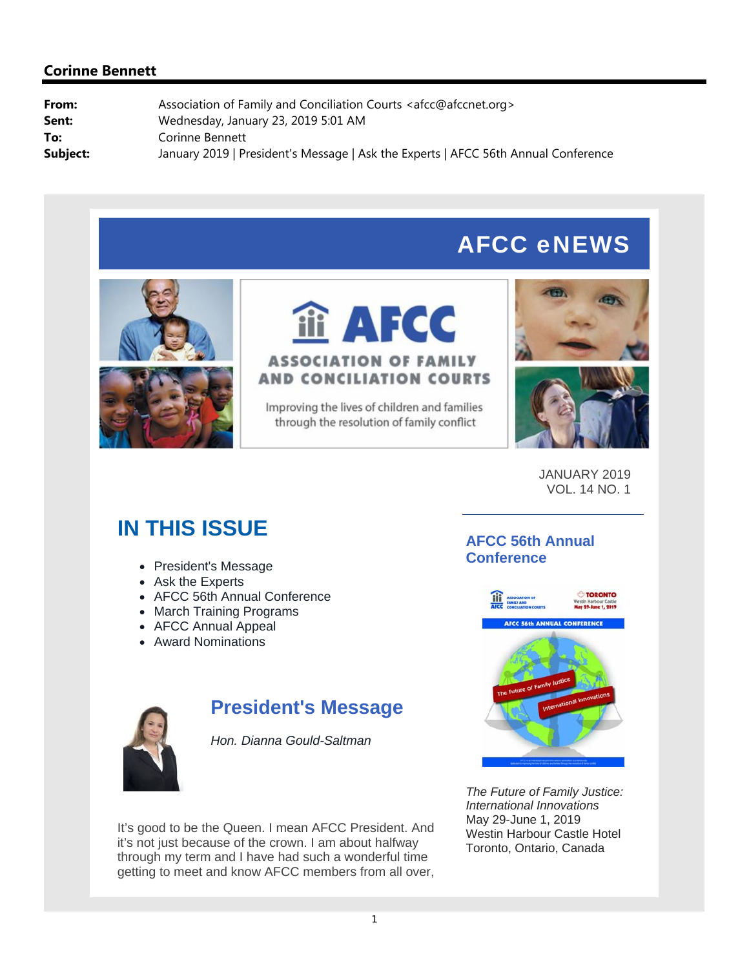# AFCC eNEWS





Improving the lives of children and families through the resolution of family conflict





JANUARY 2019 VOL. 14 NO. 1

# **IN THIS ISSUE**

- President's Message
- Ask the Experts
- AFCC 56th Annual Conference
- March Training Programs
- AFCC Annual Appeal
- Award Nominations



## **President's Message**

*Hon. Dianna Gould-Saltman*

It's good to be the Queen. I mean AFCC President. And it's not just because of the crown. I am about halfway through my term and I have had such a wonderful time getting to meet and know AFCC members from all over,

### **AFCC 56th Annual Conference**



*The Future of Family Justice: International Innovations* May 29-June 1, 2019 Westin Harbour Castle Hotel Toronto, Ontario, Canada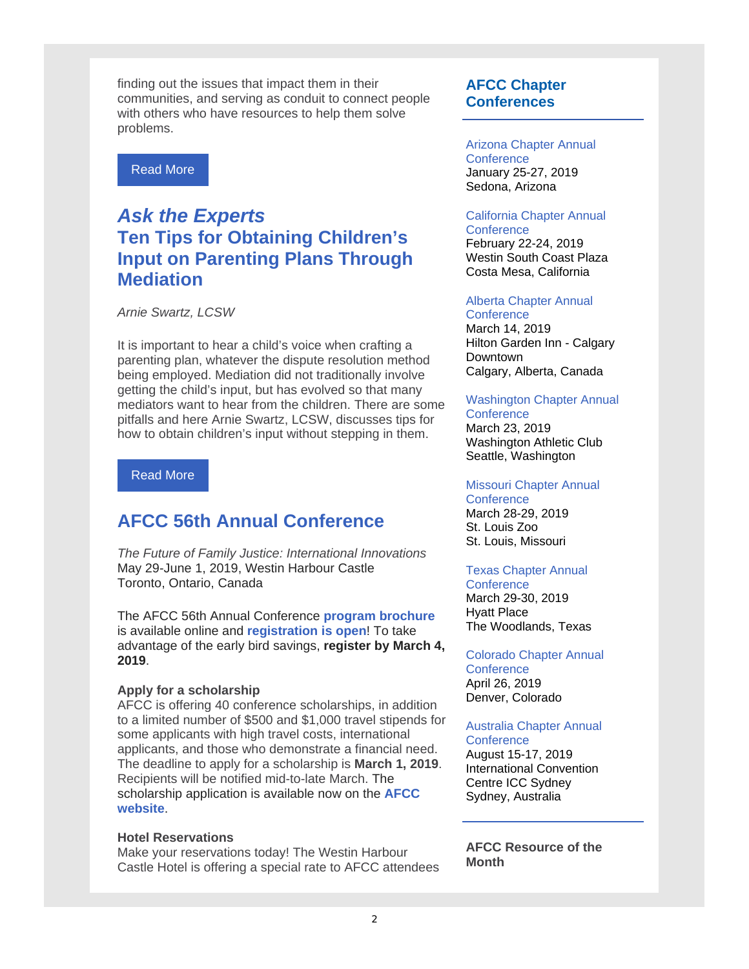finding out the issues that impact them in their communities, and serving as conduit to connect people with others who have resources to help them solve problems.

Read More

## *Ask the Experts*  **Ten Tips for Obtaining Children's Input on Parenting Plans Through Mediation**

*Arnie Swartz, LCSW*

It is important to hear a child's voice when crafting a parenting plan, whatever the dispute resolution method being employed. Mediation did not traditionally involve getting the child's input, but has evolved so that many mediators want to hear from the children. There are some pitfalls and here Arnie Swartz, LCSW, discusses tips for how to obtain children's input without stepping in them.

### Read More

## **AFCC 56th Annual Conference**

*The Future of Family Justice: International Innovations* May 29-June 1, 2019, Westin Harbour Castle Toronto, Ontario, Canada

The AFCC 56th Annual Conference **program brochure** is available online and **registration is open**! To take advantage of the early bird savings, **register by March 4, 2019**.

### **Apply for a scholarship**

AFCC is offering 40 conference scholarships, in addition to a limited number of \$500 and \$1,000 travel stipends for some applicants with high travel costs, international applicants, and those who demonstrate a financial need. The deadline to apply for a scholarship is **March 1, 2019**. Recipients will be notified mid-to-late March. The scholarship application is available now on the **AFCC website**.

### **Hotel Reservations**

Make your reservations today! The Westin Harbour Castle Hotel is offering a special rate to AFCC attendees

### **AFCC Chapter Conferences**

#### Arizona Chapter Annual **Conference**

January 25-27, 2019 Sedona, Arizona

#### California Chapter Annual **Conference**

February 22-24, 2019 Westin South Coast Plaza Costa Mesa, California

### Alberta Chapter Annual

**Conference** March 14, 2019 Hilton Garden Inn - Calgary Downtown Calgary, Alberta, Canada

#### Washington Chapter Annual

**Conference** 

March 23, 2019 Washington Athletic Club Seattle, Washington

#### Missouri Chapter Annual

**Conference** March 28-29, 2019 St. Louis Zoo St. Louis, Missouri

### Texas Chapter Annual

**Conference** March 29-30, 2019 Hyatt Place The Woodlands, Texas

#### Colorado Chapter Annual **Conference** April 26, 2019 Denver, Colorado

### Australia Chapter Annual

**Conference** August 15-17, 2019 International Convention Centre ICC Sydney Sydney, Australia

**AFCC Resource of the Month**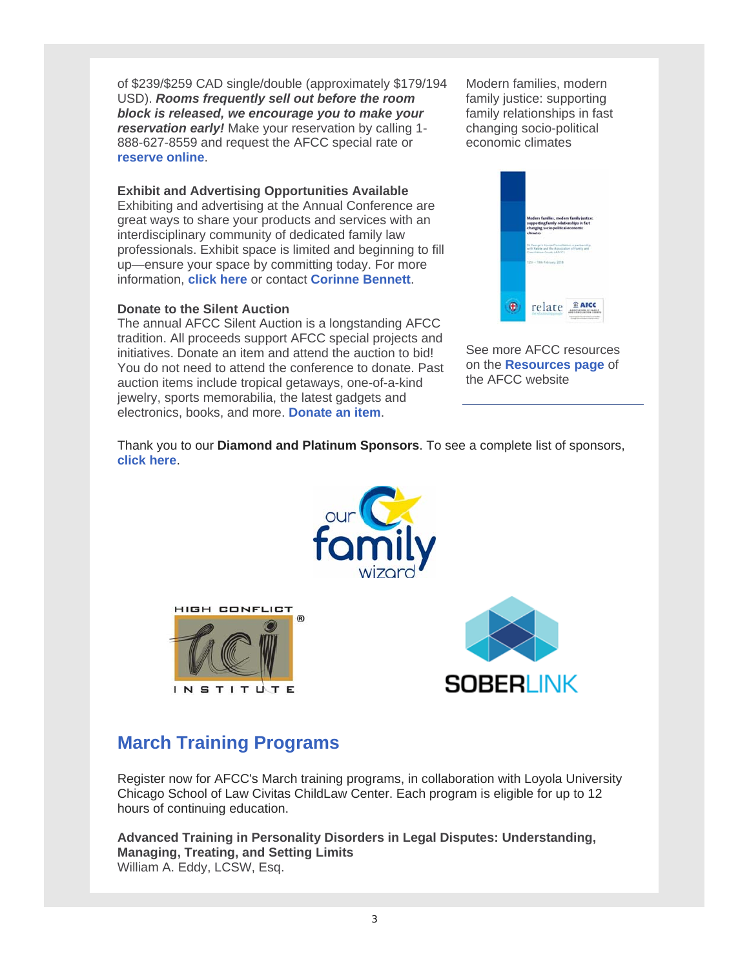of \$239/\$259 CAD single/double (approximately \$179/194 USD). *Rooms frequently sell out before the room block is released, we encourage you to make your reservation early!* Make your reservation by calling 1- 888-627-8559 and request the AFCC special rate or **reserve online**.

### **Exhibit and Advertising Opportunities Available**

Exhibiting and advertising at the Annual Conference are great ways to share your products and services with an interdisciplinary community of dedicated family law professionals. Exhibit space is limited and beginning to fill up—ensure your space by committing today. For more information, **click here** or contact **Corinne Bennett**.

### **Donate to the Silent Auction**

The annual AFCC Silent Auction is a longstanding AFCC tradition. All proceeds support AFCC special projects and initiatives. Donate an item and attend the auction to bid! You do not need to attend the conference to donate. Past auction items include tropical getaways, one-of-a-kind jewelry, sports memorabilia, the latest gadgets and electronics, books, and more. **Donate an item**.

Modern families, modern family justice: supporting family relationships in fast changing socio-political economic climates



See more AFCC resources on the **Resources page** of the AFCC website

Thank you to our **Diamond and Platinum Sponsors**. To see a complete list of sponsors, **click here**.







## **March Training Programs**

Register now for AFCC's March training programs, in collaboration with Loyola University Chicago School of Law Civitas ChildLaw Center. Each program is eligible for up to 12 hours of continuing education.

**Advanced Training in Personality Disorders in Legal Disputes: Understanding, Managing, Treating, and Setting Limits** William A. Eddy, LCSW, Esq.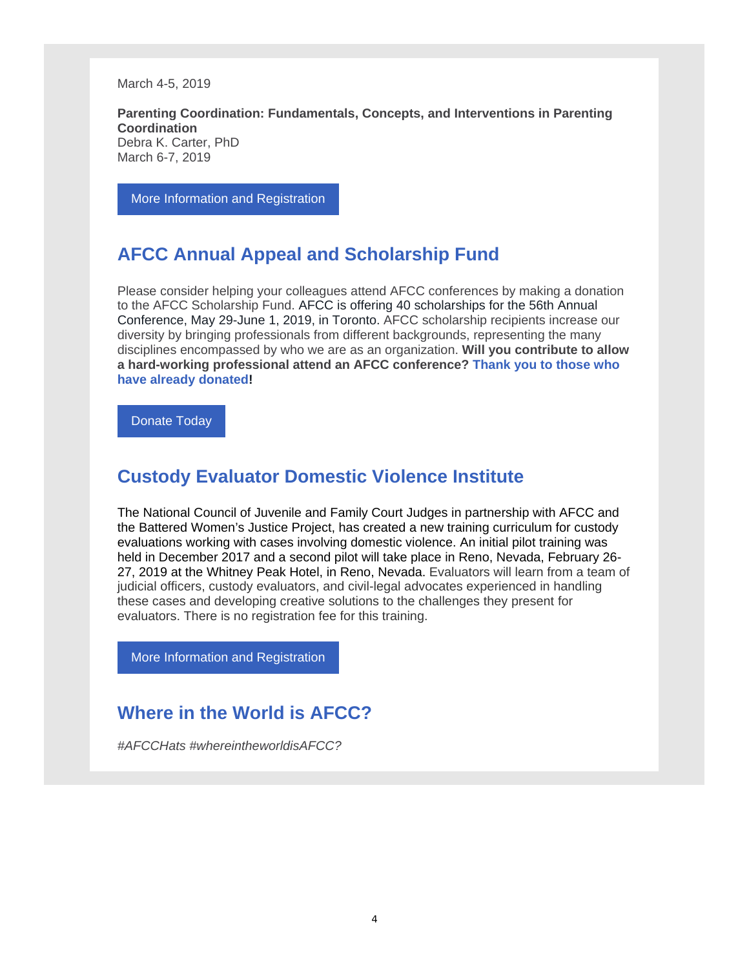March 4-5, 2019

**Parenting Coordination: Fundamentals, Concepts, and Interventions in Parenting Coordination** Debra K. Carter, PhD March 6-7, 2019

More Information and Registration

## **AFCC Annual Appeal and Scholarship Fund**

Please consider helping your colleagues attend AFCC conferences by making a donation to the AFCC Scholarship Fund. AFCC is offering 40 scholarships for the 56th Annual Conference, May 29-June 1, 2019, in Toronto. AFCC scholarship recipients increase our diversity by bringing professionals from different backgrounds, representing the many disciplines encompassed by who we are as an organization. **Will you contribute to allow a hard-working professional attend an AFCC conference? Thank you to those who have already donated!** 

Donate Today

### **Custody Evaluator Domestic Violence Institute**

The National Council of Juvenile and Family Court Judges in partnership with AFCC and the Battered Women's Justice Project, has created a new training curriculum for custody evaluations working with cases involving domestic violence. An initial pilot training was held in December 2017 and a second pilot will take place in Reno, Nevada, February 26- 27, 2019 at the Whitney Peak Hotel, in Reno, Nevada. Evaluators will learn from a team of judicial officers, custody evaluators, and civil-legal advocates experienced in handling these cases and developing creative solutions to the challenges they present for evaluators. There is no registration fee for this training.

More Information and Registration

### **Where in the World is AFCC?**

*#AFCCHats #whereintheworldisAFCC?*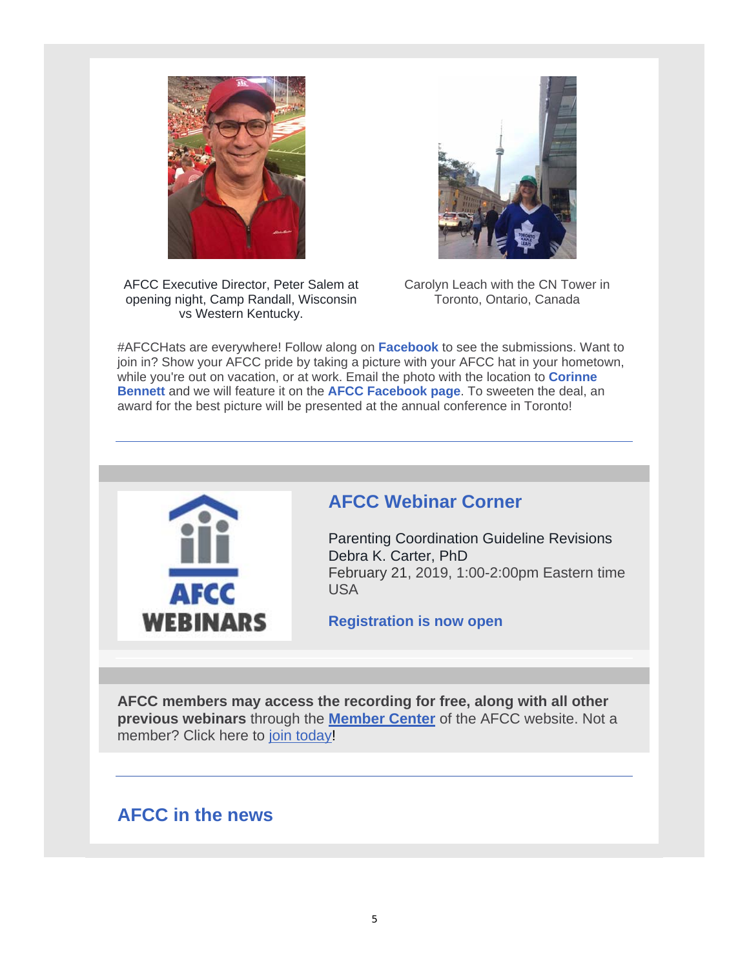



AFCC Executive Director, Peter Salem at opening night, Camp Randall, Wisconsin vs Western Kentucky.

Carolyn Leach with the CN Tower in Toronto, Ontario, Canada

#AFCCHats are everywhere! Follow along on **Facebook** to see the submissions. Want to join in? Show your AFCC pride by taking a picture with your AFCC hat in your hometown, while you're out on vacation, or at work. Email the photo with the location to **Corinne Bennett** and we will feature it on the **AFCC Facebook page**. To sweeten the deal, an award for the best picture will be presented at the annual conference in Toronto!



## **AFCC Webinar Corner**

Parenting Coordination Guideline Revisions Debra K. Carter, PhD February 21, 2019, 1:00-2:00pm Eastern time USA

**Registration is now open**

**AFCC members may access the recording for free, along with all other previous webinars** through the **Member Center** of the AFCC website. Not a member? Click here to join today!

## **AFCC in the news**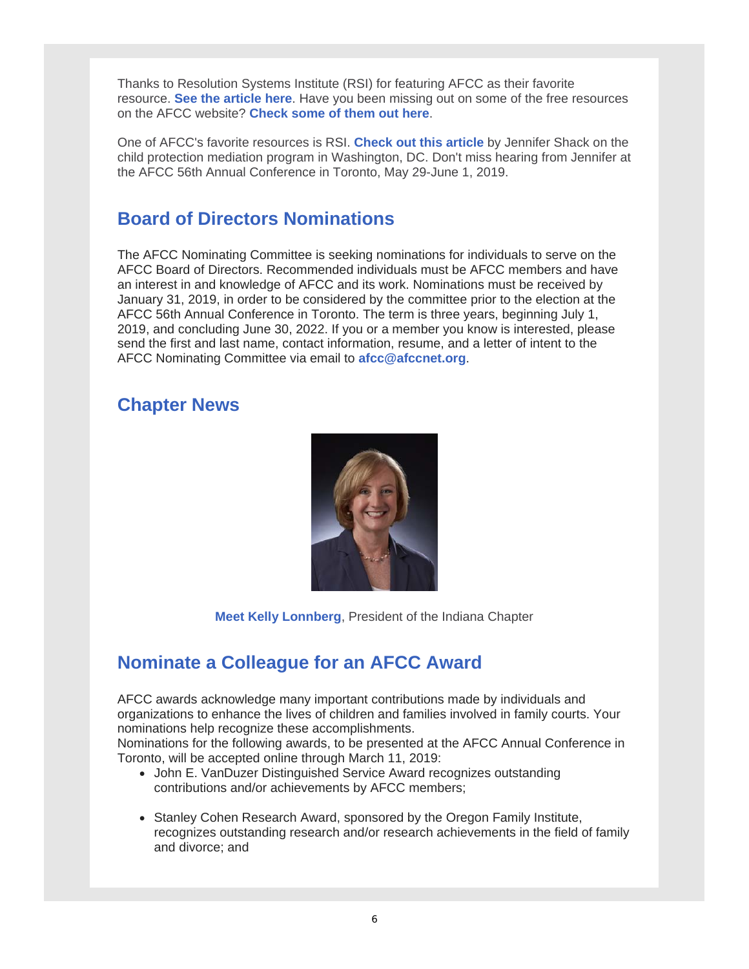Thanks to Resolution Systems Institute (RSI) for featuring AFCC as their favorite resource. **See the article here**. Have you been missing out on some of the free resources on the AFCC website? **Check some of them out here**.

One of AFCC's favorite resources is RSI. **Check out this article** by Jennifer Shack on the child protection mediation program in Washington, DC. Don't miss hearing from Jennifer at the AFCC 56th Annual Conference in Toronto, May 29-June 1, 2019.

## **Board of Directors Nominations**

The AFCC Nominating Committee is seeking nominations for individuals to serve on the AFCC Board of Directors. Recommended individuals must be AFCC members and have an interest in and knowledge of AFCC and its work. Nominations must be received by January 31, 2019, in order to be considered by the committee prior to the election at the AFCC 56th Annual Conference in Toronto. The term is three years, beginning July 1, 2019, and concluding June 30, 2022. If you or a member you know is interested, please send the first and last name, contact information, resume, and a letter of intent to the AFCC Nominating Committee via email to **afcc@afccnet.org**.

### **Chapter News**



**Meet Kelly Lonnberg**, President of the Indiana Chapter

## **Nominate a Colleague for an AFCC Award**

AFCC awards acknowledge many important contributions made by individuals and organizations to enhance the lives of children and families involved in family courts. Your nominations help recognize these accomplishments.

Nominations for the following awards, to be presented at the AFCC Annual Conference in Toronto, will be accepted online through March 11, 2019:

- John E. VanDuzer Distinguished Service Award recognizes outstanding contributions and/or achievements by AFCC members;
- Stanley Cohen Research Award, sponsored by the Oregon Family Institute, recognizes outstanding research and/or research achievements in the field of family and divorce; and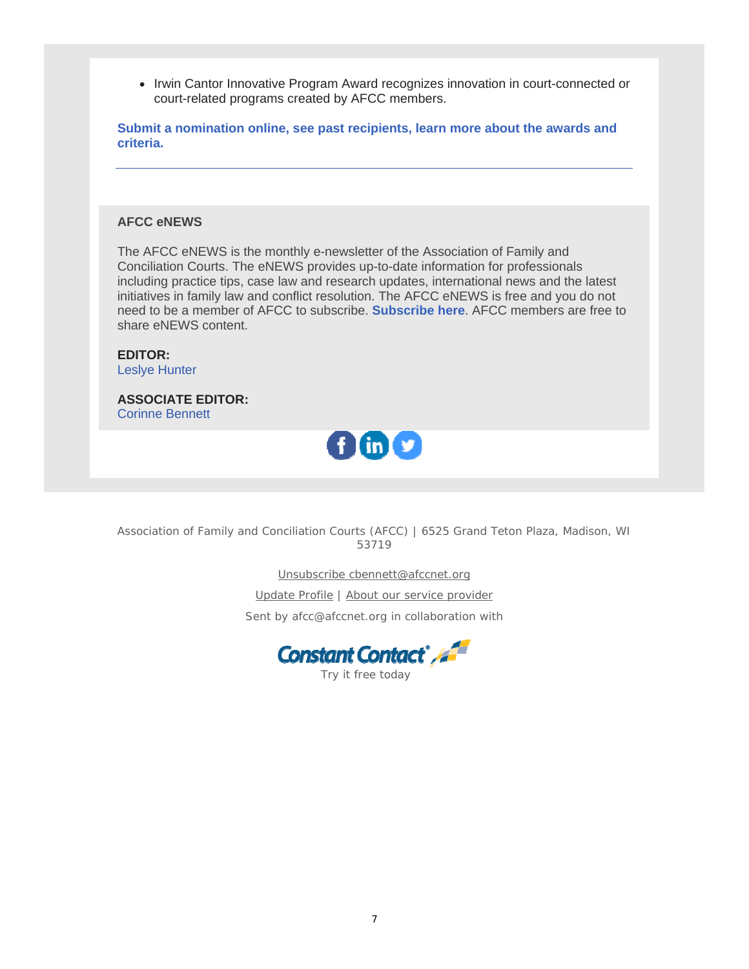• Irwin Cantor Innovative Program Award recognizes innovation in court-connected or court-related programs created by AFCC members.

**Submit a nomination online, see past recipients, learn more about the awards and criteria.**

### **AFCC eNEWS**

The AFCC eNEWS is the monthly e-newsletter of the Association of Family and Conciliation Courts. The eNEWS provides up-to-date information for professionals including practice tips, case law and research updates, international news and the latest initiatives in family law and conflict resolution. The AFCC eNEWS is free and you do not need to be a member of AFCC to subscribe. **Subscribe here**. AFCC members are free to share eNEWS content.

**EDITOR:** Leslye Hunter

**ASSOCIATE EDITOR:** Corinne Bennett



Association of Family and Conciliation Courts (AFCC) | 6525 Grand Teton Plaza, Madison, WI 53719

Unsubscribe cbennett@afccnet.org

Update Profile | About our service provider

Sent by afcc@afccnet.org in collaboration with



Try it free today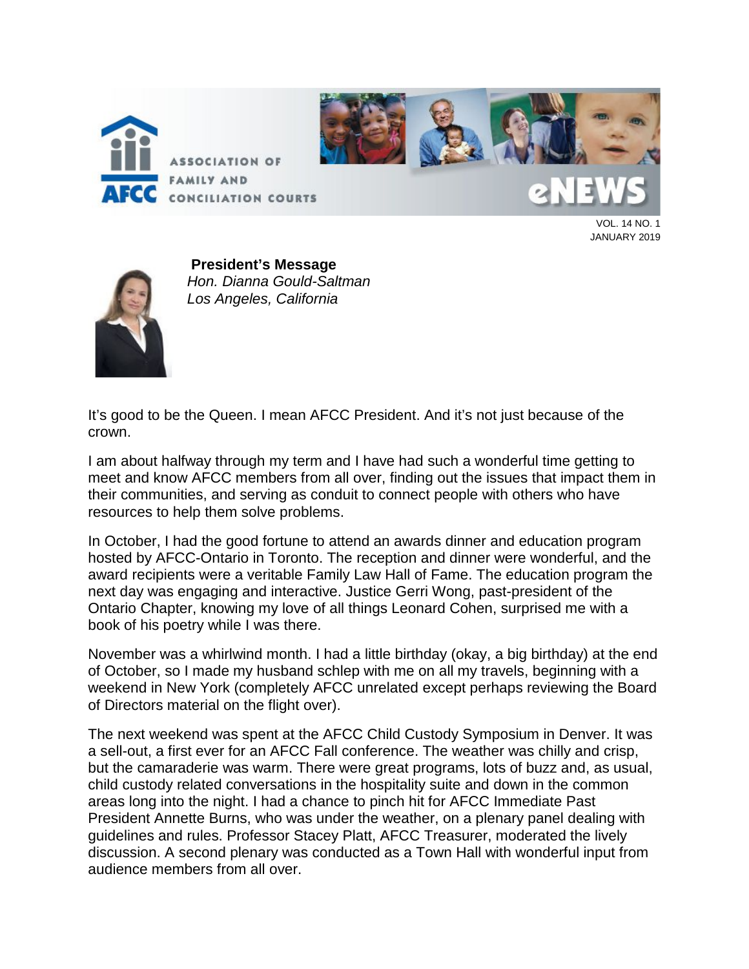



**CONCILIATION COURTS** 

VOL. 14 NO. 1 JANUARY 2019



**President's Message** *Hon. Dianna Gould-Saltman Los Angeles, California*

It's good to be the Queen. I mean AFCC President. And it's not just because of the crown.

I am about halfway through my term and I have had such a wonderful time getting to meet and know AFCC members from all over, finding out the issues that impact them in their communities, and serving as conduit to connect people with others who have resources to help them solve problems.

In October, I had the good fortune to attend an awards dinner and education program hosted by AFCC-Ontario in Toronto. The reception and dinner were wonderful, and the award recipients were a veritable Family Law Hall of Fame. The education program the next day was engaging and interactive. Justice Gerri Wong, past-president of the Ontario Chapter, knowing my love of all things Leonard Cohen, surprised me with a book of his poetry while I was there.

November was a whirlwind month. I had a little birthday (okay, a big birthday) at the end of October, so I made my husband schlep with me on all my travels, beginning with a weekend in New York (completely AFCC unrelated except perhaps reviewing the Board of Directors material on the flight over).

The next weekend was spent at the AFCC Child Custody Symposium in Denver. It was a sell-out, a first ever for an AFCC Fall conference. The weather was chilly and crisp, but the camaraderie was warm. There were great programs, lots of buzz and, as usual, child custody related conversations in the hospitality suite and down in the common areas long into the night. I had a chance to pinch hit for AFCC Immediate Past President Annette Burns, who was under the weather, on a plenary panel dealing with guidelines and rules. Professor Stacey Platt, AFCC Treasurer, moderated the lively discussion. A second plenary was conducted as a Town Hall with wonderful input from audience members from all over.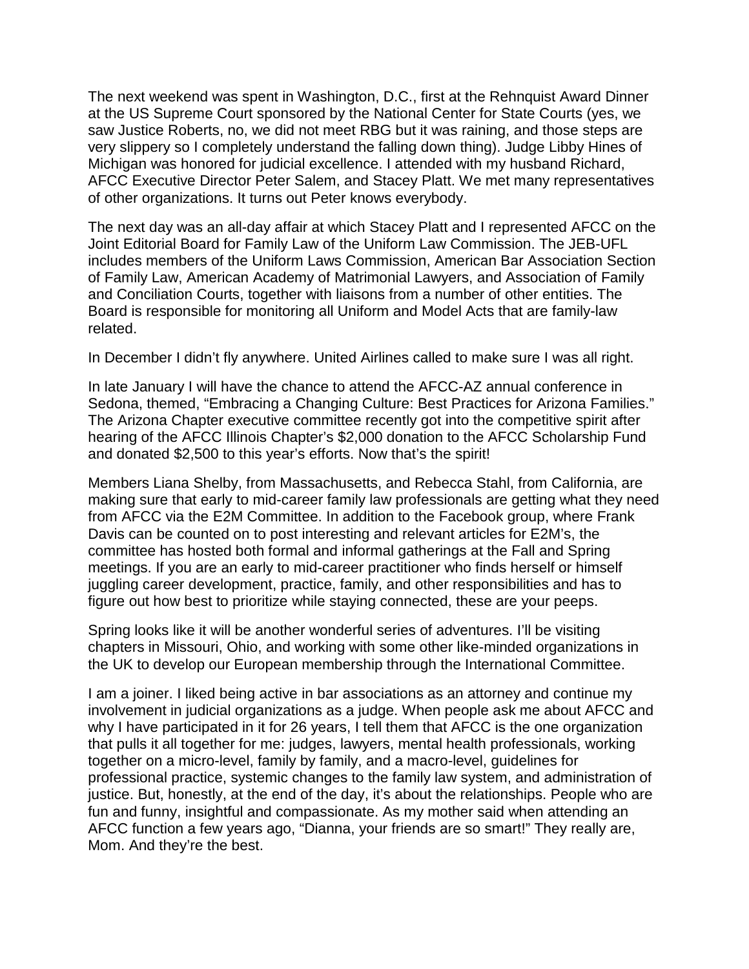The next weekend was spent in Washington, D.C., first at the Rehnquist Award Dinner at the US Supreme Court sponsored by the National Center for State Courts (yes, we saw Justice Roberts, no, we did not meet RBG but it was raining, and those steps are very slippery so I completely understand the falling down thing). Judge Libby Hines of Michigan was honored for judicial excellence. I attended with my husband Richard, AFCC Executive Director Peter Salem, and Stacey Platt. We met many representatives of other organizations. It turns out Peter knows everybody.

The next day was an all-day affair at which Stacey Platt and I represented AFCC on the Joint Editorial Board for Family Law of the Uniform Law Commission. The JEB-UFL includes members of the Uniform Laws Commission, American Bar Association Section of Family Law, American Academy of Matrimonial Lawyers, and Association of Family and Conciliation Courts, together with liaisons from a number of other entities. The Board is responsible for monitoring all Uniform and Model Acts that are family-law related.

In December I didn't fly anywhere. United Airlines called to make sure I was all right.

In late January I will have the chance to attend the AFCC-AZ annual conference in Sedona, themed, "Embracing a Changing Culture: Best Practices for Arizona Families." The Arizona Chapter executive committee recently got into the competitive spirit after hearing of the AFCC Illinois Chapter's \$2,000 donation to the AFCC Scholarship Fund and donated \$2,500 to this year's efforts. Now that's the spirit!

Members Liana Shelby, from Massachusetts, and Rebecca Stahl, from California, are making sure that early to mid-career family law professionals are getting what they need from AFCC via the E2M Committee. In addition to the Facebook group, where Frank Davis can be counted on to post interesting and relevant articles for E2M's, the committee has hosted both formal and informal gatherings at the Fall and Spring meetings. If you are an early to mid-career practitioner who finds herself or himself juggling career development, practice, family, and other responsibilities and has to figure out how best to prioritize while staying connected, these are your peeps.

Spring looks like it will be another wonderful series of adventures. I'll be visiting chapters in Missouri, Ohio, and working with some other like-minded organizations in the UK to develop our European membership through the International Committee.

I am a joiner. I liked being active in bar associations as an attorney and continue my involvement in judicial organizations as a judge. When people ask me about AFCC and why I have participated in it for 26 years, I tell them that AFCC is the one organization that pulls it all together for me: judges, lawyers, mental health professionals, working together on a micro-level, family by family, and a macro-level, guidelines for professional practice, systemic changes to the family law system, and administration of justice. But, honestly, at the end of the day, it's about the relationships. People who are fun and funny, insightful and compassionate. As my mother said when attending an AFCC function a few years ago, "Dianna, your friends are so smart!" They really are, Mom. And they're the best.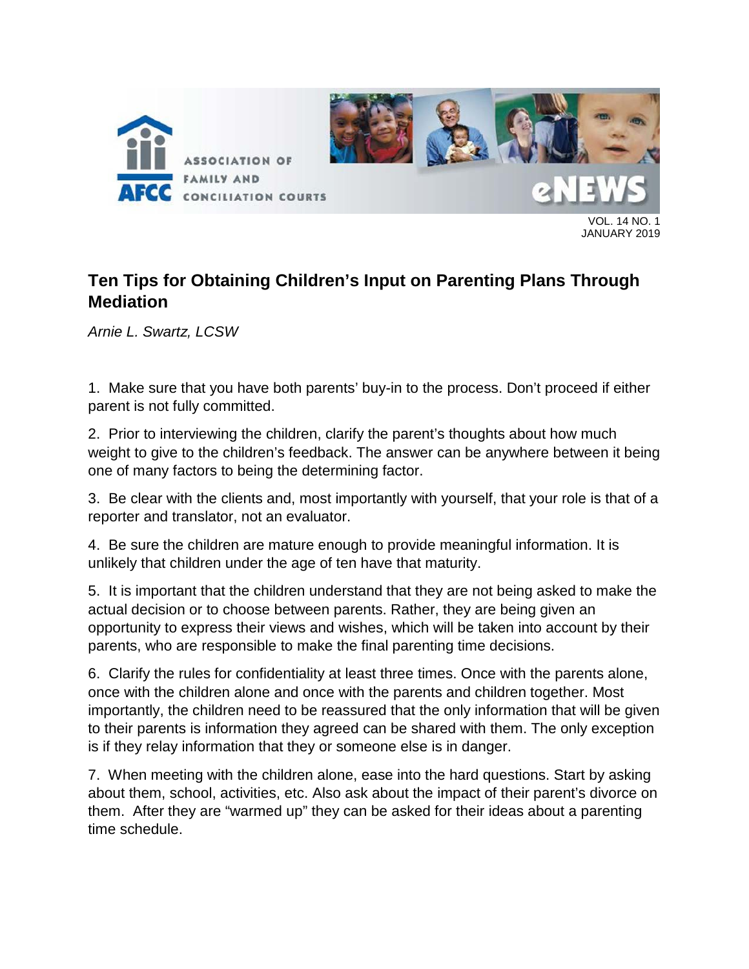

VOL. 14 NO. 1 JANUARY 2019

## **Ten Tips for Obtaining Children's Input on Parenting Plans Through Mediation**

*Arnie L. Swartz, LCSW*

1. Make sure that you have both parents' buy-in to the process. Don't proceed if either parent is not fully committed.

2. Prior to interviewing the children, clarify the parent's thoughts about how much weight to give to the children's feedback. The answer can be anywhere between it being one of many factors to being the determining factor.

3. Be clear with the clients and, most importantly with yourself, that your role is that of a reporter and translator, not an evaluator.

4. Be sure the children are mature enough to provide meaningful information. It is unlikely that children under the age of ten have that maturity.

5. It is important that the children understand that they are not being asked to make the actual decision or to choose between parents. Rather, they are being given an opportunity to express their views and wishes, which will be taken into account by their parents, who are responsible to make the final parenting time decisions.

6. Clarify the rules for confidentiality at least three times. Once with the parents alone, once with the children alone and once with the parents and children together. Most importantly, the children need to be reassured that the only information that will be given to their parents is information they agreed can be shared with them. The only exception is if they relay information that they or someone else is in danger.

7. When meeting with the children alone, ease into the hard questions. Start by asking about them, school, activities, etc. Also ask about the impact of their parent's divorce on them. After they are "warmed up" they can be asked for their ideas about a parenting time schedule.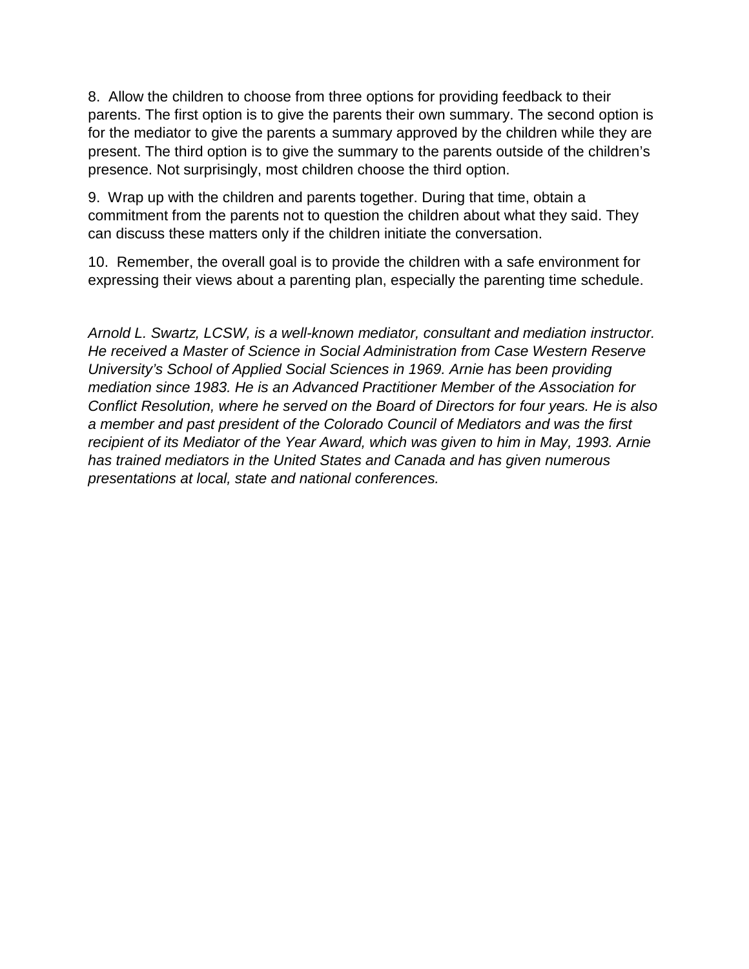8. Allow the children to choose from three options for providing feedback to their parents. The first option is to give the parents their own summary. The second option is for the mediator to give the parents a summary approved by the children while they are present. The third option is to give the summary to the parents outside of the children's presence. Not surprisingly, most children choose the third option.

9. Wrap up with the children and parents together. During that time, obtain a commitment from the parents not to question the children about what they said. They can discuss these matters only if the children initiate the conversation.

10. Remember, the overall goal is to provide the children with a safe environment for expressing their views about a parenting plan, especially the parenting time schedule.

*Arnold L. Swartz, LCSW, is a well-known mediator, consultant and mediation instructor. He received a Master of Science in Social Administration from Case Western Reserve University's School of Applied Social Sciences in 1969. Arnie has been providing mediation since 1983. He is an Advanced Practitioner Member of the Association for Conflict Resolution, where he served on the Board of Directors for four years. He is also a member and past president of the Colorado Council of Mediators and was the first recipient of its Mediator of the Year Award, which was given to him in May, 1993. Arnie has trained mediators in the United States and Canada and has given numerous presentations at local, state and national conferences.*